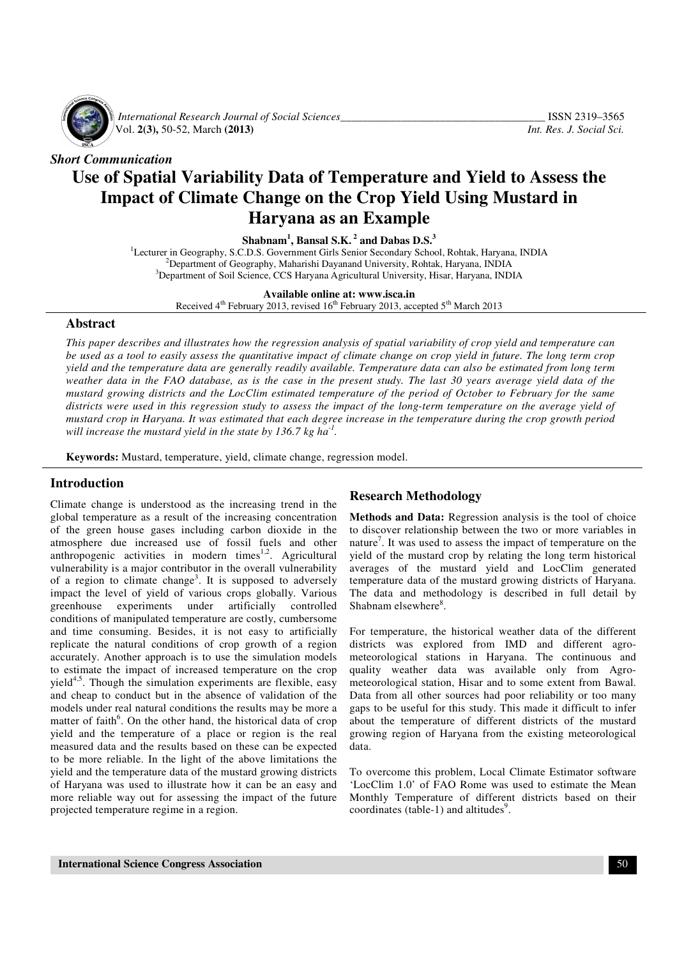

*International Research Journal of Social Sciences*<br>Vol. 2(3), 50-52, March (2013) *Int. Res. J. Social Sci.* Vol. **2(3),** 50-52, March **(2013)** *Int. Res. J. Social Sci.*

*Short Communication* 

# **Use of Spatial Variability Data of Temperature and Yield to Assess the Impact of Climate Change on the Crop Yield Using Mustard in Haryana as an Example**

**Shabnam<sup>1</sup> , Bansal S.K.<sup>2</sup> and Dabas D.S.<sup>3</sup>**

<sup>1</sup>Lecturer in Geography, S.C.D.S. Government Girls Senior Secondary School, Rohtak, Haryana, INDIA  $^{2}$ Department of Geography, Maharishi Dayanand University, Rohtak, Haryana, INDIA <sup>3</sup>Department of Soil Science, CCS Haryana Agricultural University, Hisar, Haryana, INDIA

**Available online at: www.isca.in** 

Received  $4<sup>th</sup>$  February 2013, revised  $16<sup>th</sup>$  February 2013, accepted  $5<sup>th</sup>$  March 2013

#### **Abstract**

*This paper describes and illustrates how the regression analysis of spatial variability of crop yield and temperature can be used as a tool to easily assess the quantitative impact of climate change on crop yield in future. The long term crop yield and the temperature data are generally readily available. Temperature data can also be estimated from long term weather data in the FAO database, as is the case in the present study. The last 30 years average yield data of the mustard growing districts and the LocClim estimated temperature of the period of October to February for the same districts were used in this regression study to assess the impact of the long-term temperature on the average yield of mustard crop in Haryana. It was estimated that each degree increase in the temperature during the crop growth period will increase the mustard yield in the state by 136.7 kg ha-1 .* 

**Keywords:** Mustard, temperature, yield, climate change, regression model.

## **Introduction**

Climate change is understood as the increasing trend in the global temperature as a result of the increasing concentration of the green house gases including carbon dioxide in the atmosphere due increased use of fossil fuels and other anthropogenic activities in modern times<sup>1,2</sup>. Agricultural vulnerability is a major contributor in the overall vulnerability of a region to climate change<sup>3</sup>. It is supposed to adversely impact the level of yield of various crops globally. Various greenhouse experiments under artificially controlled conditions of manipulated temperature are costly, cumbersome and time consuming. Besides, it is not easy to artificially replicate the natural conditions of crop growth of a region accurately. Another approach is to use the simulation models to estimate the impact of increased temperature on the crop yield $4.5$ . Though the simulation experiments are flexible, easy and cheap to conduct but in the absence of validation of the models under real natural conditions the results may be more a matter of faith<sup>6</sup>. On the other hand, the historical data of crop yield and the temperature of a place or region is the real measured data and the results based on these can be expected to be more reliable. In the light of the above limitations the yield and the temperature data of the mustard growing districts of Haryana was used to illustrate how it can be an easy and more reliable way out for assessing the impact of the future projected temperature regime in a region.

# **Research Methodology**

**Methods and Data:** Regression analysis is the tool of choice to discover relationship between the two or more variables in nature<sup>7</sup>. It was used to assess the impact of temperature on the yield of the mustard crop by relating the long term historical averages of the mustard yield and LocClim generated temperature data of the mustard growing districts of Haryana. The data and methodology is described in full detail by Shabnam elsewhere<sup>8</sup>.

For temperature, the historical weather data of the different districts was explored from IMD and different agrometeorological stations in Haryana. The continuous and quality weather data was available only from Agrometeorological station, Hisar and to some extent from Bawal. Data from all other sources had poor reliability or too many gaps to be useful for this study. This made it difficult to infer about the temperature of different districts of the mustard growing region of Haryana from the existing meteorological data.

To overcome this problem, Local Climate Estimator software 'LocClim 1.0' of FAO Rome was used to estimate the Mean Monthly Temperature of different districts based on their coordinates (table-1) and altitudes<sup>9</sup>.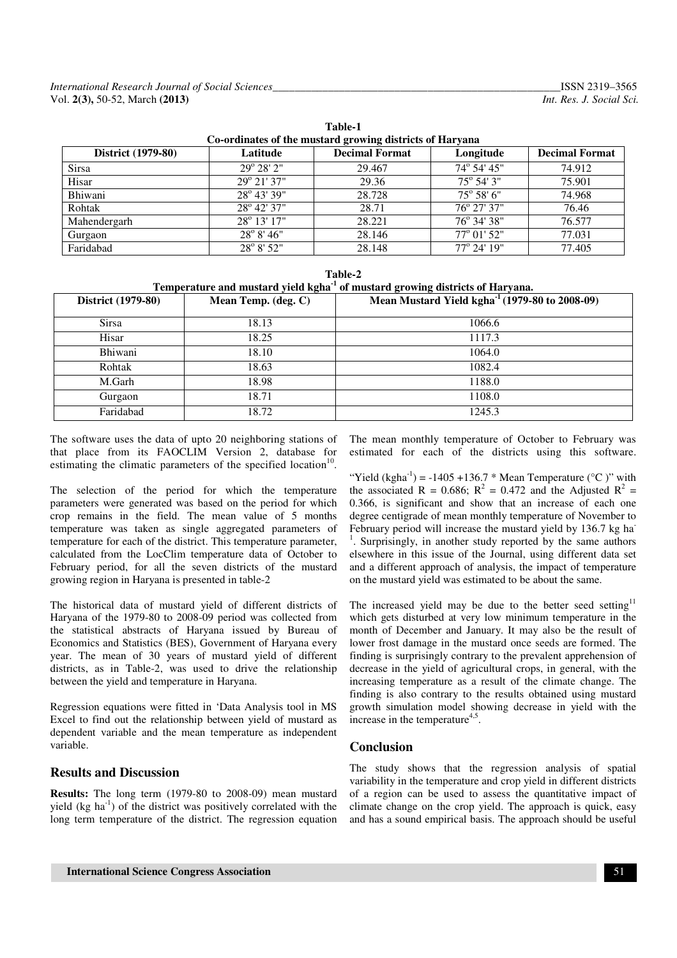| Co-ordinates of the mustard growing districts of Haryana |                       |                       |                      |                       |  |  |
|----------------------------------------------------------|-----------------------|-----------------------|----------------------|-----------------------|--|--|
| <b>District</b> (1979-80)                                | Latitude              | <b>Decimal Format</b> | Longitude            | <b>Decimal Format</b> |  |  |
| <b>Sirsa</b>                                             | $29^{\circ} 28' 2"$   | 29.467                | 74° 54' 45"          | 74.912                |  |  |
| Hisar                                                    | $29^{\circ} 21' 37''$ | 29.36                 | $75^{\circ}$ 54' 3"  | 75.901                |  |  |
| Bhiwani                                                  | $28^{\circ}$ 43' 39"  | 28.728                | $75^{\circ} 58' 6''$ | 74.968                |  |  |
| Rohtak                                                   | $28^{\circ}$ 42' 37"  | 28.71                 | $76^{\circ}$ 27' 37" | 76.46                 |  |  |
| Mahendergarh                                             | $28^{\circ}$ 13' 17"  | 28.221                | $76^{\circ}$ 34' 38" | 76.577                |  |  |
| Gurgaon                                                  | $28^{\circ} 8' 46''$  | 28.146                | 77° 01' 52"          | 77.031                |  |  |
| Faridabad                                                | 28° 8' 52"            | 28.148                | $77^{\circ}$ 24' 19" | 77.405                |  |  |

**Table-1** 

| Table-2 |  |
|---------|--|
|         |  |

**Temperature and mustard yield kgha-1 of mustard growing districts of Haryana.** 

| District (1979-80) | Mean Temp. (deg. C) | Mean Mustard Yield kgha $^{-1}$ (1979-80 to 2008-09) |
|--------------------|---------------------|------------------------------------------------------|
| <b>Sirsa</b>       | 18.13               | 1066.6                                               |
| Hisar              | 18.25               | 1117.3                                               |
| Bhiwani            | 18.10               | 1064.0                                               |
| Rohtak             | 18.63               | 1082.4                                               |
| M.Garh             | 18.98               | 1188.0                                               |
| Gurgaon            | 18.71               | 1108.0                                               |
| Faridabad          | 18.72               | 1245.3                                               |

The software uses the data of upto 20 neighboring stations of that place from its FAOCLIM Version 2, database for estimating the climatic parameters of the specified location $10$ .

The selection of the period for which the temperature parameters were generated was based on the period for which crop remains in the field. The mean value of 5 months temperature was taken as single aggregated parameters of temperature for each of the district. This temperature parameter, calculated from the LocClim temperature data of October to February period, for all the seven districts of the mustard growing region in Haryana is presented in table-2

The historical data of mustard yield of different districts of Haryana of the 1979-80 to 2008-09 period was collected from the statistical abstracts of Haryana issued by Bureau of Economics and Statistics (BES), Government of Haryana every year. The mean of 30 years of mustard yield of different districts, as in Table-2, was used to drive the relationship between the yield and temperature in Haryana.

Regression equations were fitted in 'Data Analysis tool in MS Excel to find out the relationship between yield of mustard as dependent variable and the mean temperature as independent variable.

## **Results and Discussion**

**Results:** The long term (1979-80 to 2008-09) mean mustard yield  $(kg ha<sup>-1</sup>)$  of the district was positively correlated with the long term temperature of the district. The regression equation The mean monthly temperature of October to February was estimated for each of the districts using this software.

"Yield (kgha<sup>-1</sup>) = -1405 +136.7 \* Mean Temperature ( $^{\circ}$ C)" with the associated R = 0.686;  $R^2 = 0.472$  and the Adjusted R<sup>2</sup> = 0.366, is significant and show that an increase of each one degree centigrade of mean monthly temperature of November to February period will increase the mustard yield by 136.7 kg ha-<sup>1</sup>. Surprisingly, in another study reported by the same authors elsewhere in this issue of the Journal, using different data set and a different approach of analysis, the impact of temperature on the mustard yield was estimated to be about the same.

The increased yield may be due to the better seed setting<sup>11</sup> which gets disturbed at very low minimum temperature in the month of December and January. It may also be the result of lower frost damage in the mustard once seeds are formed. The finding is surprisingly contrary to the prevalent apprehension of decrease in the yield of agricultural crops, in general, with the increasing temperature as a result of the climate change. The finding is also contrary to the results obtained using mustard growth simulation model showing decrease in yield with the increase in the temperature<sup>4,5</sup>.

## **Conclusion**

The study shows that the regression analysis of spatial variability in the temperature and crop yield in different districts of a region can be used to assess the quantitative impact of climate change on the crop yield. The approach is quick, easy and has a sound empirical basis. The approach should be useful